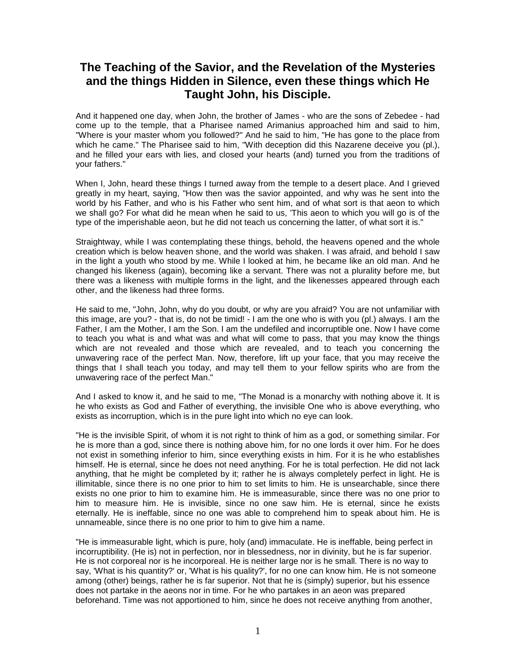## **The Teaching of the Savior, and the Revelation of the Mysteries and the things Hidden in Silence, even these things which He Taught John, his Disciple.**

And it happened one day, when John, the brother of James - who are the sons of Zebedee - had come up to the temple, that a Pharisee named Arimanius approached him and said to him, "Where is your master whom you followed?" And he said to him, "He has gone to the place from which he came." The Pharisee said to him, "With deception did this Nazarene deceive you (pl.), and he filled your ears with lies, and closed your hearts (and) turned you from the traditions of your fathers."

When I, John, heard these things I turned away from the temple to a desert place. And I grieved greatly in my heart, saying, "How then was the savior appointed, and why was he sent into the world by his Father, and who is his Father who sent him, and of what sort is that aeon to which we shall go? For what did he mean when he said to us, 'This aeon to which you will go is of the type of the imperishable aeon, but he did not teach us concerning the latter, of what sort it is."

Straightway, while I was contemplating these things, behold, the heavens opened and the whole creation which is below heaven shone, and the world was shaken. I was afraid, and behold I saw in the light a youth who stood by me. While I looked at him, he became like an old man. And he changed his likeness (again), becoming like a servant. There was not a plurality before me, but there was a likeness with multiple forms in the light, and the likenesses appeared through each other, and the likeness had three forms.

He said to me, "John, John, why do you doubt, or why are you afraid? You are not unfamiliar with this image, are you? - that is, do not be timid! - I am the one who is with you (pl.) always. I am the Father, I am the Mother, I am the Son. I am the undefiled and incorruptible one. Now I have come to teach you what is and what was and what will come to pass, that you may know the things which are not revealed and those which are revealed, and to teach you concerning the unwavering race of the perfect Man. Now, therefore, lift up your face, that you may receive the things that I shall teach you today, and may tell them to your fellow spirits who are from the unwavering race of the perfect Man."

And I asked to know it, and he said to me, "The Monad is a monarchy with nothing above it. It is he who exists as God and Father of everything, the invisible One who is above everything, who exists as incorruption, which is in the pure light into which no eye can look.

"He is the invisible Spirit, of whom it is not right to think of him as a god, or something similar. For he is more than a god, since there is nothing above him, for no one lords it over him. For he does not exist in something inferior to him, since everything exists in him. For it is he who establishes himself. He is eternal, since he does not need anything. For he is total perfection. He did not lack anything, that he might be completed by it; rather he is always completely perfect in light. He is illimitable, since there is no one prior to him to set limits to him. He is unsearchable, since there exists no one prior to him to examine him. He is immeasurable, since there was no one prior to him to measure him. He is invisible, since no one saw him. He is eternal, since he exists eternally. He is ineffable, since no one was able to comprehend him to speak about him. He is unnameable, since there is no one prior to him to give him a name.

"He is immeasurable light, which is pure, holy (and) immaculate. He is ineffable, being perfect in incorruptibility. (He is) not in perfection, nor in blessedness, nor in divinity, but he is far superior. He is not corporeal nor is he incorporeal. He is neither large nor is he small. There is no way to say, 'What is his quantity?' or, 'What is his quality?', for no one can know him. He is not someone among (other) beings, rather he is far superior. Not that he is (simply) superior, but his essence does not partake in the aeons nor in time. For he who partakes in an aeon was prepared beforehand. Time was not apportioned to him, since he does not receive anything from another,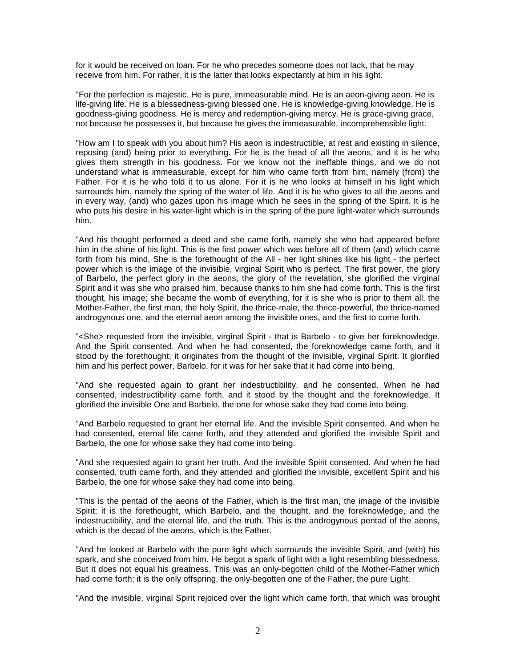for it would be received on loan. For he who precedes someone does not lack, that he may receive from him. For rather, it is the latter that looks expectantly at him in his light.

"For the perfection is majestic. He is pure, immeasurable mind. He is an aeon-giving aeon. He is life-giving life. He is a blessedness-giving blessed one. He is knowledge-giving knowledge. He is goodness-giving goodness. He is mercy and redemption-giving mercy. He is grace-giving grace, not because he possesses it, but because he gives the immeasurable, incomprehensible light.

"How am I to speak with you about him? His aeon is indestructible, at rest and existing in silence, reposing (and) being prior to everything. For he is the head of all the aeons, and it is he who gives them strength in his goodness. For we know not the ineffable things, and we do not understand what is immeasurable, except for him who came forth from him, namely (from) the Father. For it is he who told it to us alone. For it is he who looks at himself in his light which surrounds him, namely the spring of the water of life. And it is he who gives to all the aeons and in every way, (and) who gazes upon his image which he sees in the spring of the Spirit. It is he who puts his desire in his water-light which is in the spring of the pure light-water which surrounds him.

"And his thought performed a deed and she came forth, namely she who had appeared before him in the shine of his light. This is the first power which was before all of them (and) which came forth from his mind, She is the forethought of the All - her light shines like his light - the perfect power which is the image of the invisible, virginal Spirit who is perfect. The first power, the glory of Barbelo, the perfect glory in the aeons, the glory of the revelation, she glorified the virginal Spirit and it was she who praised him, because thanks to him she had come forth. This is the first thought, his image; she became the womb of everything, for it is she who is prior to them all, the Mother-Father, the first man, the holy Spirit, the thrice-male, the thrice-powerful, the thrice-named androgynous one, and the eternal aeon among the invisible ones, and the first to come forth.

"<She> requested from the invisible, virginal Spirit - that is Barbelo - to give her foreknowledge. And the Spirit consented. And when he had consented, the foreknowledge came forth, and it stood by the forethought; it originates from the thought of the invisible, virginal Spirit. It glorified him and his perfect power, Barbelo, for it was for her sake that it had come into being.

"And she requested again to grant her indestructibility, and he consented. When he had consented, indestructibility came forth, and it stood by the thought and the foreknowledge. It glorified the invisible One and Barbelo, the one for whose sake they had come into being.

"And Barbelo requested to grant her eternal life. And the invisible Spirit consented. And when he had consented, eternal life came forth, and they attended and glorified the invisible Spirit and Barbelo, the one for whose sake they had come into being.

"And she requested again to grant her truth. And the invisible Spirit consented. And when he had consented, truth came forth, and they attended and glorified the invisible, excellent Spirit and his Barbelo, the one for whose sake they had come into being.

"This is the pentad of the aeons of the Father, which is the first man, the image of the invisible Spirit; it is the forethought, which Barbelo, and the thought, and the foreknowledge, and the indestructibility, and the eternal life, and the truth. This is the androgynous pentad of the aeons, which is the decad of the aeons, which is the Father.

"And he looked at Barbelo with the pure light which surrounds the invisible Spirit, and (with) his spark, and she conceived from him. He begot a spark of light with a light resembling blessedness. But it does not equal his greatness. This was an only-begotten child of the Mother-Father which had come forth; it is the only offspring, the only-begotten one of the Father, the pure Light.

"And the invisible, virginal Spirit rejoiced over the light which came forth, that which was brought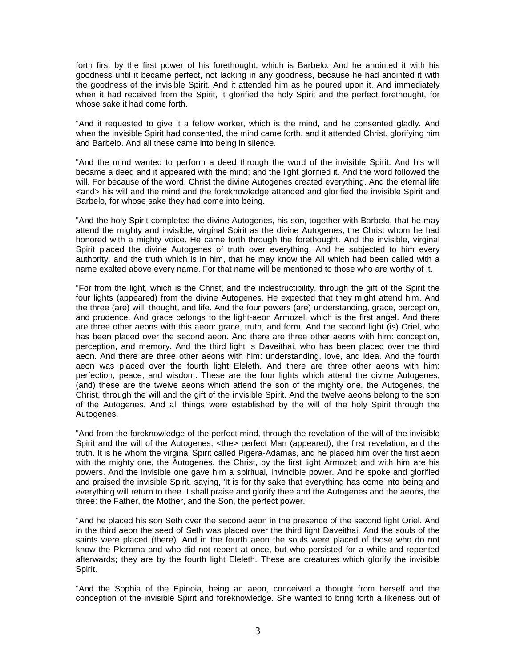forth first by the first power of his forethought, which is Barbelo. And he anointed it with his goodness until it became perfect, not lacking in any goodness, because he had anointed it with the goodness of the invisible Spirit. And it attended him as he poured upon it. And immediately when it had received from the Spirit, it glorified the holy Spirit and the perfect forethought, for whose sake it had come forth.

"And it requested to give it a fellow worker, which is the mind, and he consented gladly. And when the invisible Spirit had consented, the mind came forth, and it attended Christ, glorifying him and Barbelo. And all these came into being in silence.

"And the mind wanted to perform a deed through the word of the invisible Spirit. And his will became a deed and it appeared with the mind; and the light glorified it. And the word followed the will. For because of the word, Christ the divine Autogenes created everything. And the eternal life <and> his will and the mind and the foreknowledge attended and glorified the invisible Spirit and Barbelo, for whose sake they had come into being.

"And the holy Spirit completed the divine Autogenes, his son, together with Barbelo, that he may attend the mighty and invisible, virginal Spirit as the divine Autogenes, the Christ whom he had honored with a mighty voice. He came forth through the forethought. And the invisible, virginal Spirit placed the divine Autogenes of truth over everything. And he subjected to him every authority, and the truth which is in him, that he may know the All which had been called with a name exalted above every name. For that name will be mentioned to those who are worthy of it.

"For from the light, which is the Christ, and the indestructibility, through the gift of the Spirit the four lights (appeared) from the divine Autogenes. He expected that they might attend him. And the three (are) will, thought, and life. And the four powers (are) understanding, grace, perception, and prudence. And grace belongs to the light-aeon Armozel, which is the first angel. And there are three other aeons with this aeon: grace, truth, and form. And the second light (is) Oriel, who has been placed over the second aeon. And there are three other aeons with him: conception, perception, and memory. And the third light is Daveithai, who has been placed over the third aeon. And there are three other aeons with him: understanding, love, and idea. And the fourth aeon was placed over the fourth light Eleleth. And there are three other aeons with him: perfection, peace, and wisdom. These are the four lights which attend the divine Autogenes, (and) these are the twelve aeons which attend the son of the mighty one, the Autogenes, the Christ, through the will and the gift of the invisible Spirit. And the twelve aeons belong to the son of the Autogenes. And all things were established by the will of the holy Spirit through the Autogenes.

"And from the foreknowledge of the perfect mind, through the revelation of the will of the invisible Spirit and the will of the Autogenes, <the> perfect Man (appeared), the first revelation, and the truth. It is he whom the virginal Spirit called Pigera-Adamas, and he placed him over the first aeon with the mighty one, the Autogenes, the Christ, by the first light Armozel; and with him are his powers. And the invisible one gave him a spiritual, invincible power. And he spoke and glorified and praised the invisible Spirit, saying, 'It is for thy sake that everything has come into being and everything will return to thee. I shall praise and glorify thee and the Autogenes and the aeons, the three: the Father, the Mother, and the Son, the perfect power.'

"And he placed his son Seth over the second aeon in the presence of the second light Oriel. And in the third aeon the seed of Seth was placed over the third light Daveithai. And the souls of the saints were placed (there). And in the fourth aeon the souls were placed of those who do not know the Pleroma and who did not repent at once, but who persisted for a while and repented afterwards; they are by the fourth light Eleleth. These are creatures which glorify the invisible Spirit.

"And the Sophia of the Epinoia, being an aeon, conceived a thought from herself and the conception of the invisible Spirit and foreknowledge. She wanted to bring forth a likeness out of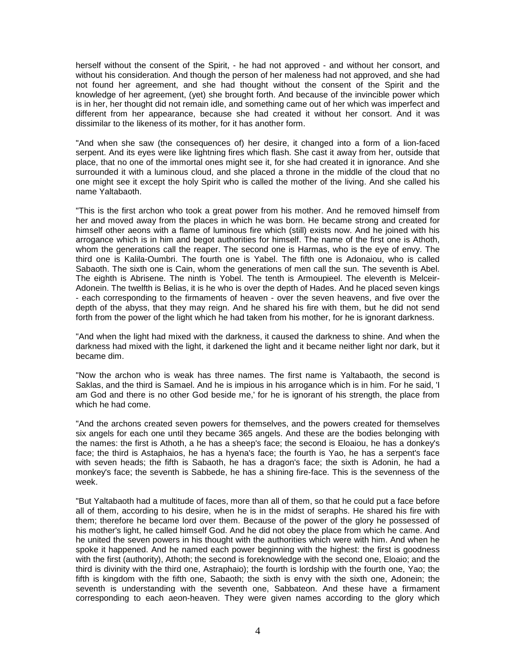herself without the consent of the Spirit, - he had not approved - and without her consort, and without his consideration. And though the person of her maleness had not approved, and she had not found her agreement, and she had thought without the consent of the Spirit and the knowledge of her agreement, (yet) she brought forth. And because of the invincible power which is in her, her thought did not remain idle, and something came out of her which was imperfect and different from her appearance, because she had created it without her consort. And it was dissimilar to the likeness of its mother, for it has another form.

"And when she saw (the consequences of) her desire, it changed into a form of a lion-faced serpent. And its eyes were like lightning fires which flash. She cast it away from her, outside that place, that no one of the immortal ones might see it, for she had created it in ignorance. And she surrounded it with a luminous cloud, and she placed a throne in the middle of the cloud that no one might see it except the holy Spirit who is called the mother of the living. And she called his name Yaltabaoth.

"This is the first archon who took a great power from his mother. And he removed himself from her and moved away from the places in which he was born. He became strong and created for himself other aeons with a flame of luminous fire which (still) exists now. And he joined with his arrogance which is in him and begot authorities for himself. The name of the first one is Athoth, whom the generations call the reaper. The second one is Harmas, who is the eye of envy. The third one is Kalila-Oumbri. The fourth one is Yabel. The fifth one is Adonaiou, who is called Sabaoth. The sixth one is Cain, whom the generations of men call the sun. The seventh is Abel. The eighth is Abrisene. The ninth is Yobel. The tenth is Armoupieel. The eleventh is Melceir-Adonein. The twelfth is Belias, it is he who is over the depth of Hades. And he placed seven kings - each corresponding to the firmaments of heaven - over the seven heavens, and five over the depth of the abyss, that they may reign. And he shared his fire with them, but he did not send forth from the power of the light which he had taken from his mother, for he is ignorant darkness.

"And when the light had mixed with the darkness, it caused the darkness to shine. And when the darkness had mixed with the light, it darkened the light and it became neither light nor dark, but it became dim.

"Now the archon who is weak has three names. The first name is Yaltabaoth, the second is Saklas, and the third is Samael. And he is impious in his arrogance which is in him. For he said, 'I am God and there is no other God beside me,' for he is ignorant of his strength, the place from which he had come.

"And the archons created seven powers for themselves, and the powers created for themselves six angels for each one until they became 365 angels. And these are the bodies belonging with the names: the first is Athoth, a he has a sheep's face; the second is Eloaiou, he has a donkey's face; the third is Astaphaios, he has a hyena's face; the fourth is Yao, he has a serpent's face with seven heads; the fifth is Sabaoth, he has a dragon's face; the sixth is Adonin, he had a monkey's face; the seventh is Sabbede, he has a shining fire-face. This is the sevenness of the week.

"But Yaltabaoth had a multitude of faces, more than all of them, so that he could put a face before all of them, according to his desire, when he is in the midst of seraphs. He shared his fire with them; therefore he became lord over them. Because of the power of the glory he possessed of his mother's light, he called himself God. And he did not obey the place from which he came. And he united the seven powers in his thought with the authorities which were with him. And when he spoke it happened. And he named each power beginning with the highest: the first is goodness with the first (authority), Athoth; the second is foreknowledge with the second one, Eloaio; and the third is divinity with the third one, Astraphaio); the fourth is lordship with the fourth one, Yao; the fifth is kingdom with the fifth one, Sabaoth; the sixth is envy with the sixth one, Adonein; the seventh is understanding with the seventh one, Sabbateon. And these have a firmament corresponding to each aeon-heaven. They were given names according to the glory which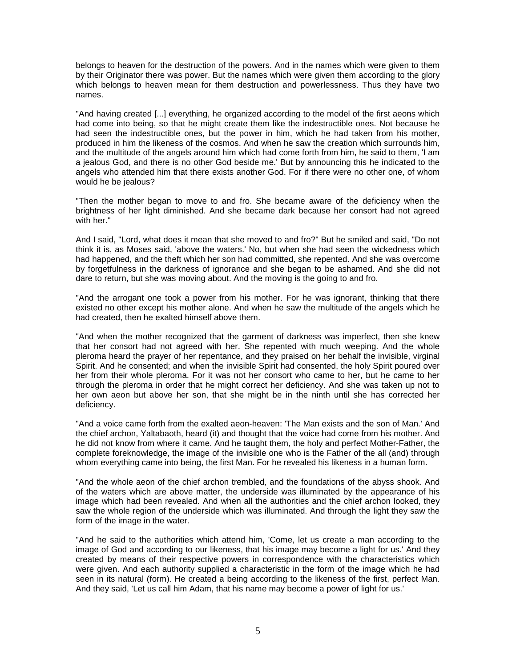belongs to heaven for the destruction of the powers. And in the names which were given to them by their Originator there was power. But the names which were given them according to the glory which belongs to heaven mean for them destruction and powerlessness. Thus they have two names.

"And having created [...] everything, he organized according to the model of the first aeons which had come into being, so that he might create them like the indestructible ones. Not because he had seen the indestructible ones, but the power in him, which he had taken from his mother, produced in him the likeness of the cosmos. And when he saw the creation which surrounds him, and the multitude of the angels around him which had come forth from him, he said to them, 'I am a jealous God, and there is no other God beside me.' But by announcing this he indicated to the angels who attended him that there exists another God. For if there were no other one, of whom would he be jealous?

"Then the mother began to move to and fro. She became aware of the deficiency when the brightness of her light diminished. And she became dark because her consort had not agreed with her."

And I said, "Lord, what does it mean that she moved to and fro?" But he smiled and said, "Do not think it is, as Moses said, 'above the waters.' No, but when she had seen the wickedness which had happened, and the theft which her son had committed, she repented. And she was overcome by forgetfulness in the darkness of ignorance and she began to be ashamed. And she did not dare to return, but she was moving about. And the moving is the going to and fro.

"And the arrogant one took a power from his mother. For he was ignorant, thinking that there existed no other except his mother alone. And when he saw the multitude of the angels which he had created, then he exalted himself above them.

"And when the mother recognized that the garment of darkness was imperfect, then she knew that her consort had not agreed with her. She repented with much weeping. And the whole pleroma heard the prayer of her repentance, and they praised on her behalf the invisible, virginal Spirit. And he consented; and when the invisible Spirit had consented, the holy Spirit poured over her from their whole pleroma. For it was not her consort who came to her, but he came to her through the pleroma in order that he might correct her deficiency. And she was taken up not to her own aeon but above her son, that she might be in the ninth until she has corrected her deficiency.

"And a voice came forth from the exalted aeon-heaven: 'The Man exists and the son of Man.' And the chief archon, Yaltabaoth, heard (it) and thought that the voice had come from his mother. And he did not know from where it came. And he taught them, the holy and perfect Mother-Father, the complete foreknowledge, the image of the invisible one who is the Father of the all (and) through whom everything came into being, the first Man. For he revealed his likeness in a human form.

"And the whole aeon of the chief archon trembled, and the foundations of the abyss shook. And of the waters which are above matter, the underside was illuminated by the appearance of his image which had been revealed. And when all the authorities and the chief archon looked, they saw the whole region of the underside which was illuminated. And through the light they saw the form of the image in the water.

"And he said to the authorities which attend him, 'Come, let us create a man according to the image of God and according to our likeness, that his image may become a light for us.' And they created by means of their respective powers in correspondence with the characteristics which were given. And each authority supplied a characteristic in the form of the image which he had seen in its natural (form). He created a being according to the likeness of the first, perfect Man. And they said, 'Let us call him Adam, that his name may become a power of light for us.'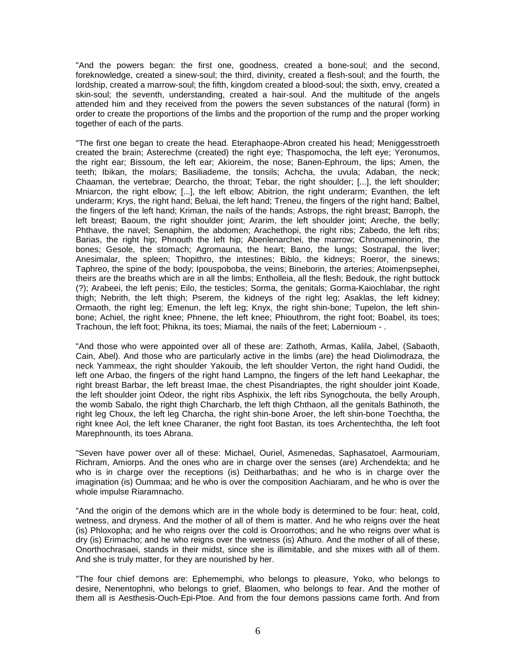"And the powers began: the first one, goodness, created a bone-soul; and the second, foreknowledge, created a sinew-soul; the third, divinity, created a flesh-soul; and the fourth, the lordship, created a marrow-soul; the fifth, kingdom created a blood-soul; the sixth, envy, created a skin-soul; the seventh, understanding, created a hair-soul. And the multitude of the angels attended him and they received from the powers the seven substances of the natural (form) in order to create the proportions of the limbs and the proportion of the rump and the proper working together of each of the parts.

"The first one began to create the head. Eteraphaope-Abron created his head; Meniggesstroeth created the brain; Asterechme (created) the right eye; Thaspomocha, the left eye; Yeronumos, the right ear; Bissoum, the left ear; Akioreim, the nose; Banen-Ephroum, the lips; Amen, the teeth; Ibikan, the molars; Basiliademe, the tonsils; Achcha, the uvula; Adaban, the neck; Chaaman, the vertebrae; Dearcho, the throat; Tebar, the right shoulder; [...], the left shoulder; Mniarcon, the right elbow; [...], the left elbow; Abitrion, the right underarm; Evanthen, the left underarm; Krys, the right hand; Beluai, the left hand; Treneu, the fingers of the right hand; Balbel, the fingers of the left hand; Kriman, the nails of the hands; Astrops, the right breast; Barroph, the left breast; Baoum, the right shoulder joint; Ararim, the left shoulder joint; Areche, the belly; Phthave, the navel; Senaphim, the abdomen; Arachethopi, the right ribs; Zabedo, the left ribs; Barias, the right hip; Phnouth the left hip; Abenlenarchei, the marrow; Chnoumeninorin, the bones; Gesole, the stomach; Agromauna, the heart; Bano, the lungs; Sostrapal, the liver; Anesimalar, the spleen; Thopithro, the intestines; Biblo, the kidneys; Roeror, the sinews; Taphreo, the spine of the body; Ipouspoboba, the veins; Bineborin, the arteries; Atoimenpsephei, theirs are the breaths which are in all the limbs; Entholleia, all the flesh; Bedouk, the right buttock (?); Arabeei, the left penis; Eilo, the testicles; Sorma, the genitals; Gorma-Kaiochlabar, the right thigh; Nebrith, the left thigh; Pserem, the kidneys of the right leg; Asaklas, the left kidney; Ormaoth, the right leg; Emenun, the left leg; Knyx, the right shin-bone; Tupelon, the left shinbone; Achiel, the right knee; Phnene, the left knee; Phiouthrom, the right foot; Boabel, its toes; Trachoun, the left foot; Phikna, its toes; Miamai, the nails of the feet; Labernioum - .

"And those who were appointed over all of these are: Zathoth, Armas, Kalila, Jabel, (Sabaoth, Cain, Abel). And those who are particularly active in the limbs (are) the head Diolimodraza, the neck Yammeax, the right shoulder Yakouib, the left shoulder Verton, the right hand Oudidi, the left one Arbao, the fingers of the right hand Lampno, the fingers of the left hand Leekaphar, the right breast Barbar, the left breast Imae, the chest Pisandriaptes, the right shoulder joint Koade, the left shoulder joint Odeor, the right ribs Asphixix, the left ribs Synogchouta, the belly Arouph, the womb Sabalo, the right thigh Charcharb, the left thigh Chthaon, all the genitals Bathinoth, the right leg Choux, the left leg Charcha, the right shin-bone Aroer, the left shin-bone Toechtha, the right knee Aol, the left knee Charaner, the right foot Bastan, its toes Archentechtha, the left foot Marephnounth, its toes Abrana.

"Seven have power over all of these: Michael, Ouriel, Asmenedas, Saphasatoel, Aarmouriam, Richram, Amiorps. And the ones who are in charge over the senses (are) Archendekta; and he who is in charge over the receptions (is) Deitharbathas; and he who is in charge over the imagination (is) Oummaa; and he who is over the composition Aachiaram, and he who is over the whole impulse Riaramnacho.

"And the origin of the demons which are in the whole body is determined to be four: heat, cold, wetness, and dryness. And the mother of all of them is matter. And he who reigns over the heat (is) Phloxopha; and he who reigns over the cold is Oroorrothos; and he who reigns over what is dry (is) Erimacho; and he who reigns over the wetness (is) Athuro. And the mother of all of these, Onorthochrasaei, stands in their midst, since she is illimitable, and she mixes with all of them. And she is truly matter, for they are nourished by her.

"The four chief demons are: Ephememphi, who belongs to pleasure, Yoko, who belongs to desire, Nenentophni, who belongs to grief, Blaomen, who belongs to fear. And the mother of them all is Aesthesis-Ouch-Epi-Ptoe. And from the four demons passions came forth. And from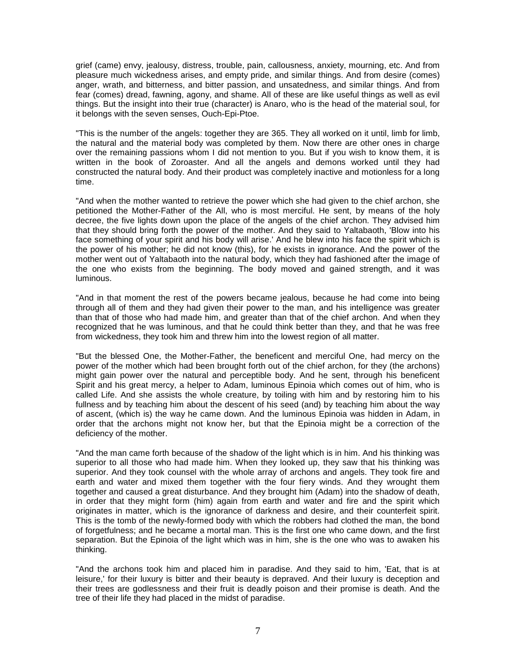grief (came) envy, jealousy, distress, trouble, pain, callousness, anxiety, mourning, etc. And from pleasure much wickedness arises, and empty pride, and similar things. And from desire (comes) anger, wrath, and bitterness, and bitter passion, and unsatedness, and similar things. And from fear (comes) dread, fawning, agony, and shame. All of these are like useful things as well as evil things. But the insight into their true (character) is Anaro, who is the head of the material soul, for it belongs with the seven senses, Ouch-Epi-Ptoe.

"This is the number of the angels: together they are 365. They all worked on it until, limb for limb, the natural and the material body was completed by them. Now there are other ones in charge over the remaining passions whom I did not mention to you. But if you wish to know them, it is written in the book of Zoroaster. And all the angels and demons worked until they had constructed the natural body. And their product was completely inactive and motionless for a long time.

"And when the mother wanted to retrieve the power which she had given to the chief archon, she petitioned the Mother-Father of the All, who is most merciful. He sent, by means of the holy decree, the five lights down upon the place of the angels of the chief archon. They advised him that they should bring forth the power of the mother. And they said to Yaltabaoth, 'Blow into his face something of your spirit and his body will arise.' And he blew into his face the spirit which is the power of his mother; he did not know (this), for he exists in ignorance. And the power of the mother went out of Yaltabaoth into the natural body, which they had fashioned after the image of the one who exists from the beginning. The body moved and gained strength, and it was luminous.

"And in that moment the rest of the powers became jealous, because he had come into being through all of them and they had given their power to the man, and his intelligence was greater than that of those who had made him, and greater than that of the chief archon. And when they recognized that he was luminous, and that he could think better than they, and that he was free from wickedness, they took him and threw him into the lowest region of all matter.

"But the blessed One, the Mother-Father, the beneficent and merciful One, had mercy on the power of the mother which had been brought forth out of the chief archon, for they (the archons) might gain power over the natural and perceptible body. And he sent, through his beneficent Spirit and his great mercy, a helper to Adam, luminous Epinoia which comes out of him, who is called Life. And she assists the whole creature, by toiling with him and by restoring him to his fullness and by teaching him about the descent of his seed (and) by teaching him about the way of ascent, (which is) the way he came down. And the luminous Epinoia was hidden in Adam, in order that the archons might not know her, but that the Epinoia might be a correction of the deficiency of the mother.

"And the man came forth because of the shadow of the light which is in him. And his thinking was superior to all those who had made him. When they looked up, they saw that his thinking was superior. And they took counsel with the whole array of archons and angels. They took fire and earth and water and mixed them together with the four fiery winds. And they wrought them together and caused a great disturbance. And they brought him (Adam) into the shadow of death, in order that they might form (him) again from earth and water and fire and the spirit which originates in matter, which is the ignorance of darkness and desire, and their counterfeit spirit. This is the tomb of the newly-formed body with which the robbers had clothed the man, the bond of forgetfulness; and he became a mortal man. This is the first one who came down, and the first separation. But the Epinoia of the light which was in him, she is the one who was to awaken his thinking.

"And the archons took him and placed him in paradise. And they said to him, 'Eat, that is at leisure,' for their luxury is bitter and their beauty is depraved. And their luxury is deception and their trees are godlessness and their fruit is deadly poison and their promise is death. And the tree of their life they had placed in the midst of paradise.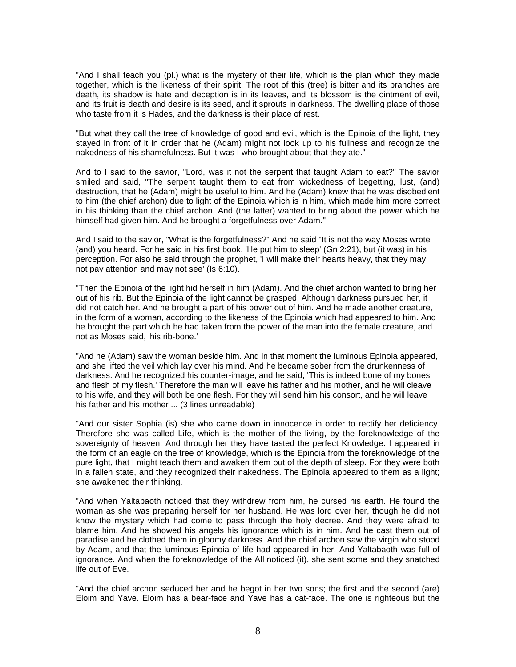"And I shall teach you (pl.) what is the mystery of their life, which is the plan which they made together, which is the likeness of their spirit. The root of this (tree) is bitter and its branches are death, its shadow is hate and deception is in its leaves, and its blossom is the ointment of evil, and its fruit is death and desire is its seed, and it sprouts in darkness. The dwelling place of those who taste from it is Hades, and the darkness is their place of rest.

"But what they call the tree of knowledge of good and evil, which is the Epinoia of the light, they stayed in front of it in order that he (Adam) might not look up to his fullness and recognize the nakedness of his shamefulness. But it was I who brought about that they ate."

And to I said to the savior, "Lord, was it not the serpent that taught Adam to eat?" The savior smiled and said, "The serpent taught them to eat from wickedness of begetting, lust, (and) destruction, that he (Adam) might be useful to him. And he (Adam) knew that he was disobedient to him (the chief archon) due to light of the Epinoia which is in him, which made him more correct in his thinking than the chief archon. And (the latter) wanted to bring about the power which he himself had given him. And he brought a forgetfulness over Adam."

And I said to the savior, "What is the forgetfulness?" And he said "It is not the way Moses wrote (and) you heard. For he said in his first book, 'He put him to sleep' (Gn 2:21), but (it was) in his perception. For also he said through the prophet, 'I will make their hearts heavy, that they may not pay attention and may not see' (Is 6:10).

"Then the Epinoia of the light hid herself in him (Adam). And the chief archon wanted to bring her out of his rib. But the Epinoia of the light cannot be grasped. Although darkness pursued her, it did not catch her. And he brought a part of his power out of him. And he made another creature, in the form of a woman, according to the likeness of the Epinoia which had appeared to him. And he brought the part which he had taken from the power of the man into the female creature, and not as Moses said, 'his rib-bone.'

"And he (Adam) saw the woman beside him. And in that moment the luminous Epinoia appeared, and she lifted the veil which lay over his mind. And he became sober from the drunkenness of darkness. And he recognized his counter-image, and he said, 'This is indeed bone of my bones and flesh of my flesh.' Therefore the man will leave his father and his mother, and he will cleave to his wife, and they will both be one flesh. For they will send him his consort, and he will leave his father and his mother ... (3 lines unreadable)

"And our sister Sophia (is) she who came down in innocence in order to rectify her deficiency. Therefore she was called Life, which is the mother of the living, by the foreknowledge of the sovereignty of heaven. And through her they have tasted the perfect Knowledge. I appeared in the form of an eagle on the tree of knowledge, which is the Epinoia from the foreknowledge of the pure light, that I might teach them and awaken them out of the depth of sleep. For they were both in a fallen state, and they recognized their nakedness. The Epinoia appeared to them as a light; she awakened their thinking.

"And when Yaltabaoth noticed that they withdrew from him, he cursed his earth. He found the woman as she was preparing herself for her husband. He was lord over her, though he did not know the mystery which had come to pass through the holy decree. And they were afraid to blame him. And he showed his angels his ignorance which is in him. And he cast them out of paradise and he clothed them in gloomy darkness. And the chief archon saw the virgin who stood by Adam, and that the luminous Epinoia of life had appeared in her. And Yaltabaoth was full of ignorance. And when the foreknowledge of the All noticed (it), she sent some and they snatched life out of Eve.

"And the chief archon seduced her and he begot in her two sons; the first and the second (are) Eloim and Yave. Eloim has a bear-face and Yave has a cat-face. The one is righteous but the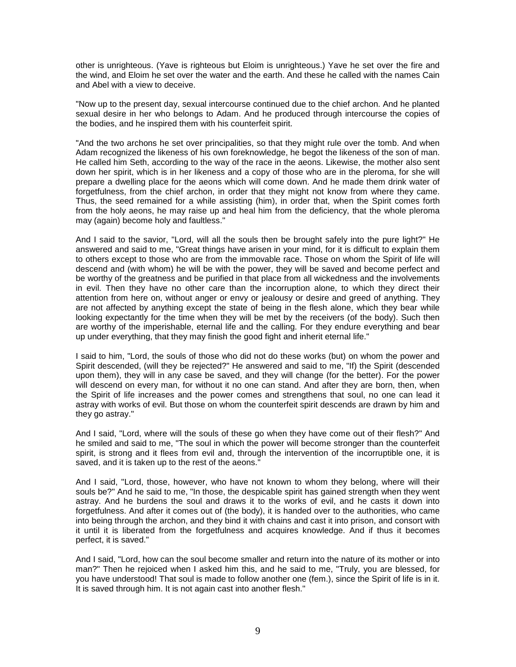other is unrighteous. (Yave is righteous but Eloim is unrighteous.) Yave he set over the fire and the wind, and Eloim he set over the water and the earth. And these he called with the names Cain and Abel with a view to deceive.

"Now up to the present day, sexual intercourse continued due to the chief archon. And he planted sexual desire in her who belongs to Adam. And he produced through intercourse the copies of the bodies, and he inspired them with his counterfeit spirit.

"And the two archons he set over principalities, so that they might rule over the tomb. And when Adam recognized the likeness of his own foreknowledge, he begot the likeness of the son of man. He called him Seth, according to the way of the race in the aeons. Likewise, the mother also sent down her spirit, which is in her likeness and a copy of those who are in the pleroma, for she will prepare a dwelling place for the aeons which will come down. And he made them drink water of forgetfulness, from the chief archon, in order that they might not know from where they came. Thus, the seed remained for a while assisting (him), in order that, when the Spirit comes forth from the holy aeons, he may raise up and heal him from the deficiency, that the whole pleroma may (again) become holy and faultless."

And I said to the savior, "Lord, will all the souls then be brought safely into the pure light?" He answered and said to me, "Great things have arisen in your mind, for it is difficult to explain them to others except to those who are from the immovable race. Those on whom the Spirit of life will descend and (with whom) he will be with the power, they will be saved and become perfect and be worthy of the greatness and be purified in that place from all wickedness and the involvements in evil. Then they have no other care than the incorruption alone, to which they direct their attention from here on, without anger or envy or jealousy or desire and greed of anything. They are not affected by anything except the state of being in the flesh alone, which they bear while looking expectantly for the time when they will be met by the receivers (of the body). Such then are worthy of the imperishable, eternal life and the calling. For they endure everything and bear up under everything, that they may finish the good fight and inherit eternal life."

I said to him, "Lord, the souls of those who did not do these works (but) on whom the power and Spirit descended, (will they be rejected?" He answered and said to me, "If) the Spirit (descended upon them), they will in any case be saved, and they will change (for the better). For the power will descend on every man, for without it no one can stand. And after they are born, then, when the Spirit of life increases and the power comes and strengthens that soul, no one can lead it astray with works of evil. But those on whom the counterfeit spirit descends are drawn by him and they go astray."

And I said, "Lord, where will the souls of these go when they have come out of their flesh?" And he smiled and said to me, "The soul in which the power will become stronger than the counterfeit spirit, is strong and it flees from evil and, through the intervention of the incorruptible one, it is saved, and it is taken up to the rest of the aeons."

And I said, "Lord, those, however, who have not known to whom they belong, where will their souls be?" And he said to me, "In those, the despicable spirit has gained strength when they went astray. And he burdens the soul and draws it to the works of evil, and he casts it down into forgetfulness. And after it comes out of (the body), it is handed over to the authorities, who came into being through the archon, and they bind it with chains and cast it into prison, and consort with it until it is liberated from the forgetfulness and acquires knowledge. And if thus it becomes perfect, it is saved."

And I said, "Lord, how can the soul become smaller and return into the nature of its mother or into man?" Then he rejoiced when I asked him this, and he said to me, "Truly, you are blessed, for you have understood! That soul is made to follow another one (fem.), since the Spirit of life is in it. It is saved through him. It is not again cast into another flesh."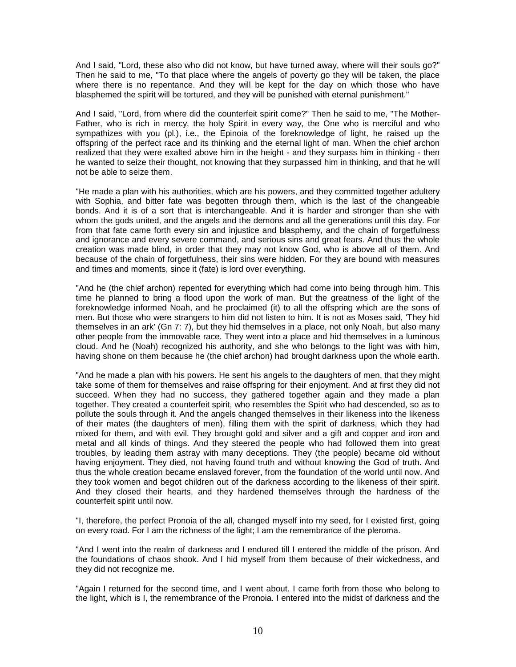And I said, "Lord, these also who did not know, but have turned away, where will their souls go?" Then he said to me, "To that place where the angels of poverty go they will be taken, the place where there is no repentance. And they will be kept for the day on which those who have blasphemed the spirit will be tortured, and they will be punished with eternal punishment."

And I said, "Lord, from where did the counterfeit spirit come?" Then he said to me, "The Mother-Father, who is rich in mercy, the holy Spirit in every way, the One who is merciful and who sympathizes with you (pl.), i.e., the Epinoia of the foreknowledge of light, he raised up the offspring of the perfect race and its thinking and the eternal light of man. When the chief archon realized that they were exalted above him in the height - and they surpass him in thinking - then he wanted to seize their thought, not knowing that they surpassed him in thinking, and that he will not be able to seize them.

"He made a plan with his authorities, which are his powers, and they committed together adultery with Sophia, and bitter fate was begotten through them, which is the last of the changeable bonds. And it is of a sort that is interchangeable. And it is harder and stronger than she with whom the gods united, and the angels and the demons and all the generations until this day. For from that fate came forth every sin and injustice and blasphemy, and the chain of forgetfulness and ignorance and every severe command, and serious sins and great fears. And thus the whole creation was made blind, in order that they may not know God, who is above all of them. And because of the chain of forgetfulness, their sins were hidden. For they are bound with measures and times and moments, since it (fate) is lord over everything.

"And he (the chief archon) repented for everything which had come into being through him. This time he planned to bring a flood upon the work of man. But the greatness of the light of the foreknowledge informed Noah, and he proclaimed (it) to all the offspring which are the sons of men. But those who were strangers to him did not listen to him. It is not as Moses said, 'They hid themselves in an ark' (Gn 7: 7), but they hid themselves in a place, not only Noah, but also many other people from the immovable race. They went into a place and hid themselves in a luminous cloud. And he (Noah) recognized his authority, and she who belongs to the light was with him, having shone on them because he (the chief archon) had brought darkness upon the whole earth.

"And he made a plan with his powers. He sent his angels to the daughters of men, that they might take some of them for themselves and raise offspring for their enjoyment. And at first they did not succeed. When they had no success, they gathered together again and they made a plan together. They created a counterfeit spirit, who resembles the Spirit who had descended, so as to pollute the souls through it. And the angels changed themselves in their likeness into the likeness of their mates (the daughters of men), filling them with the spirit of darkness, which they had mixed for them, and with evil. They brought gold and silver and a gift and copper and iron and metal and all kinds of things. And they steered the people who had followed them into great troubles, by leading them astray with many deceptions. They (the people) became old without having enjoyment. They died, not having found truth and without knowing the God of truth. And thus the whole creation became enslaved forever, from the foundation of the world until now. And they took women and begot children out of the darkness according to the likeness of their spirit. And they closed their hearts, and they hardened themselves through the hardness of the counterfeit spirit until now.

"I, therefore, the perfect Pronoia of the all, changed myself into my seed, for I existed first, going on every road. For I am the richness of the light; I am the remembrance of the pleroma.

"And I went into the realm of darkness and I endured till I entered the middle of the prison. And the foundations of chaos shook. And I hid myself from them because of their wickedness, and they did not recognize me.

"Again I returned for the second time, and I went about. I came forth from those who belong to the light, which is I, the remembrance of the Pronoia. I entered into the midst of darkness and the